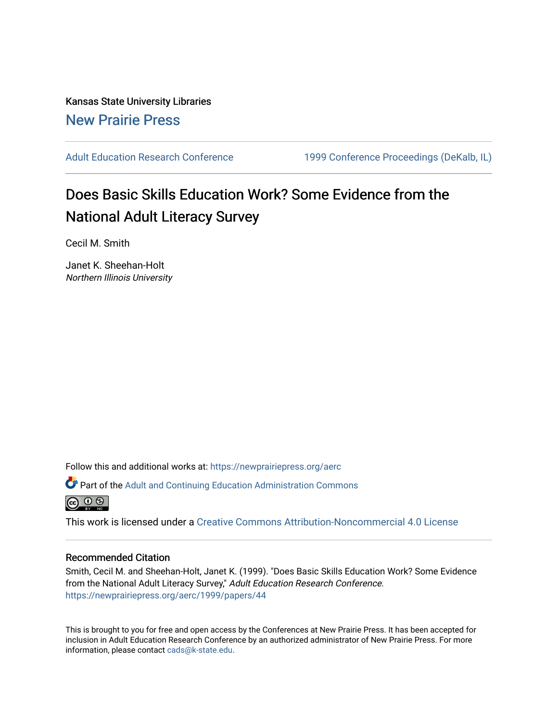Kansas State University Libraries [New Prairie Press](https://newprairiepress.org/) 

[Adult Education Research Conference](https://newprairiepress.org/aerc) [1999 Conference Proceedings \(DeKalb, IL\)](https://newprairiepress.org/aerc/1999) 

## Does Basic Skills Education Work? Some Evidence from the National Adult Literacy Survey

Cecil M. Smith

Janet K. Sheehan-Holt Northern Illinois University

Follow this and additional works at: [https://newprairiepress.org/aerc](https://newprairiepress.org/aerc?utm_source=newprairiepress.org%2Faerc%2F1999%2Fpapers%2F44&utm_medium=PDF&utm_campaign=PDFCoverPages)

Part of the [Adult and Continuing Education Administration Commons](http://network.bepress.com/hgg/discipline/789?utm_source=newprairiepress.org%2Faerc%2F1999%2Fpapers%2F44&utm_medium=PDF&utm_campaign=PDFCoverPages)



This work is licensed under a [Creative Commons Attribution-Noncommercial 4.0 License](https://creativecommons.org/licenses/by-nc/4.0/)

## Recommended Citation

Smith, Cecil M. and Sheehan-Holt, Janet K. (1999). "Does Basic Skills Education Work? Some Evidence from the National Adult Literacy Survey," Adult Education Research Conference. <https://newprairiepress.org/aerc/1999/papers/44>

This is brought to you for free and open access by the Conferences at New Prairie Press. It has been accepted for inclusion in Adult Education Research Conference by an authorized administrator of New Prairie Press. For more information, please contact [cads@k-state.edu](mailto:cads@k-state.edu).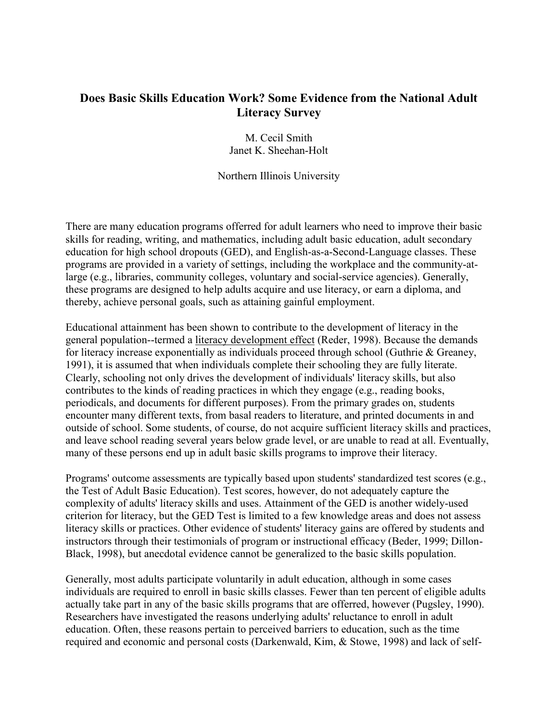## **Does Basic Skills Education Work? Some Evidence from the National Adult Literacy Survey**

M. Cecil Smith Janet K. Sheehan-Holt

Northern Illinois University

There are many education programs offerred for adult learners who need to improve their basic skills for reading, writing, and mathematics, including adult basic education, adult secondary education for high school dropouts (GED), and English-as-a-Second-Language classes. These programs are provided in a variety of settings, including the workplace and the community-atlarge (e.g., libraries, community colleges, voluntary and social-service agencies). Generally, these programs are designed to help adults acquire and use literacy, or earn a diploma, and thereby, achieve personal goals, such as attaining gainful employment.

Educational attainment has been shown to contribute to the development of literacy in the general population--termed a literacy development effect (Reder, 1998). Because the demands for literacy increase exponentially as individuals proceed through school (Guthrie & Greaney, 1991), it is assumed that when individuals complete their schooling they are fully literate. Clearly, schooling not only drives the development of individuals' literacy skills, but also contributes to the kinds of reading practices in which they engage (e.g., reading books, periodicals, and documents for different purposes). From the primary grades on, students encounter many different texts, from basal readers to literature, and printed documents in and outside of school. Some students, of course, do not acquire sufficient literacy skills and practices, and leave school reading several years below grade level, or are unable to read at all. Eventually, many of these persons end up in adult basic skills programs to improve their literacy.

Programs' outcome assessments are typically based upon students' standardized test scores (e.g., the Test of Adult Basic Education). Test scores, however, do not adequately capture the complexity of adults' literacy skills and uses. Attainment of the GED is another widely-used criterion for literacy, but the GED Test is limited to a few knowledge areas and does not assess literacy skills or practices. Other evidence of students' literacy gains are offered by students and instructors through their testimonials of program or instructional efficacy (Beder, 1999; Dillon-Black, 1998), but anecdotal evidence cannot be generalized to the basic skills population.

Generally, most adults participate voluntarily in adult education, although in some cases individuals are required to enroll in basic skills classes. Fewer than ten percent of eligible adults actually take part in any of the basic skills programs that are offerred, however (Pugsley, 1990). Researchers have investigated the reasons underlying adults' reluctance to enroll in adult education. Often, these reasons pertain to perceived barriers to education, such as the time required and economic and personal costs (Darkenwald, Kim, & Stowe, 1998) and lack of self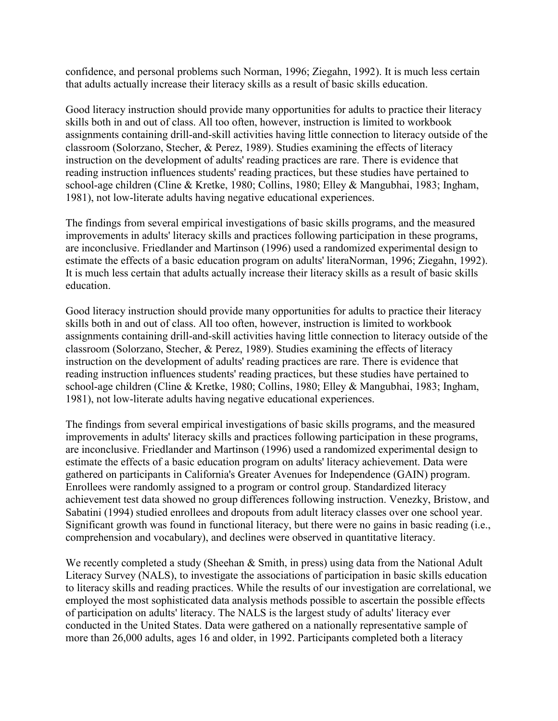confidence, and personal problems such Norman, 1996; Ziegahn, 1992). It is much less certain that adults actually increase their literacy skills as a result of basic skills education.

Good literacy instruction should provide many opportunities for adults to practice their literacy skills both in and out of class. All too often, however, instruction is limited to workbook assignments containing drill-and-skill activities having little connection to literacy outside of the classroom (Solorzano, Stecher, & Perez, 1989). Studies examining the effects of literacy instruction on the development of adults' reading practices are rare. There is evidence that reading instruction influences students' reading practices, but these studies have pertained to school-age children (Cline & Kretke, 1980; Collins, 1980; Elley & Mangubhai, 1983; Ingham, 1981), not low-literate adults having negative educational experiences.

The findings from several empirical investigations of basic skills programs, and the measured improvements in adults' literacy skills and practices following participation in these programs, are inconclusive. Friedlander and Martinson (1996) used a randomized experimental design to estimate the effects of a basic education program on adults' literaNorman, 1996; Ziegahn, 1992). It is much less certain that adults actually increase their literacy skills as a result of basic skills education.

Good literacy instruction should provide many opportunities for adults to practice their literacy skills both in and out of class. All too often, however, instruction is limited to workbook assignments containing drill-and-skill activities having little connection to literacy outside of the classroom (Solorzano, Stecher, & Perez, 1989). Studies examining the effects of literacy instruction on the development of adults' reading practices are rare. There is evidence that reading instruction influences students' reading practices, but these studies have pertained to school-age children (Cline & Kretke, 1980; Collins, 1980; Elley & Mangubhai, 1983; Ingham, 1981), not low-literate adults having negative educational experiences.

The findings from several empirical investigations of basic skills programs, and the measured improvements in adults' literacy skills and practices following participation in these programs, are inconclusive. Friedlander and Martinson (1996) used a randomized experimental design to estimate the effects of a basic education program on adults' literacy achievement. Data were gathered on participants in California's Greater Avenues for Independence (GAIN) program. Enrollees were randomly assigned to a program or control group. Standardized literacy achievement test data showed no group differences following instruction. Venezky, Bristow, and Sabatini (1994) studied enrollees and dropouts from adult literacy classes over one school year. Significant growth was found in functional literacy, but there were no gains in basic reading (i.e., comprehension and vocabulary), and declines were observed in quantitative literacy.

We recently completed a study (Sheehan & Smith, in press) using data from the National Adult Literacy Survey (NALS), to investigate the associations of participation in basic skills education to literacy skills and reading practices. While the results of our investigation are correlational, we employed the most sophisticated data analysis methods possible to ascertain the possible effects of participation on adults' literacy. The NALS is the largest study of adults' literacy ever conducted in the United States. Data were gathered on a nationally representative sample of more than 26,000 adults, ages 16 and older, in 1992. Participants completed both a literacy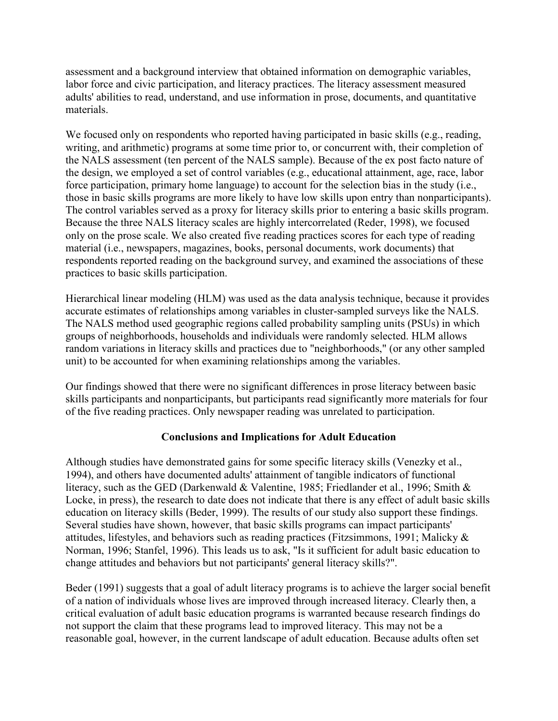assessment and a background interview that obtained information on demographic variables, labor force and civic participation, and literacy practices. The literacy assessment measured adults' abilities to read, understand, and use information in prose, documents, and quantitative materials.

We focused only on respondents who reported having participated in basic skills (e.g., reading, writing, and arithmetic) programs at some time prior to, or concurrent with, their completion of the NALS assessment (ten percent of the NALS sample). Because of the ex post facto nature of the design, we employed a set of control variables (e.g., educational attainment, age, race, labor force participation, primary home language) to account for the selection bias in the study (i.e., those in basic skills programs are more likely to have low skills upon entry than nonparticipants). The control variables served as a proxy for literacy skills prior to entering a basic skills program. Because the three NALS literacy scales are highly intercorrelated (Reder, 1998), we focused only on the prose scale. We also created five reading practices scores for each type of reading material (i.e., newspapers, magazines, books, personal documents, work documents) that respondents reported reading on the background survey, and examined the associations of these practices to basic skills participation.

Hierarchical linear modeling (HLM) was used as the data analysis technique, because it provides accurate estimates of relationships among variables in cluster-sampled surveys like the NALS. The NALS method used geographic regions called probability sampling units (PSUs) in which groups of neighborhoods, households and individuals were randomly selected. HLM allows random variations in literacy skills and practices due to "neighborhoods," (or any other sampled unit) to be accounted for when examining relationships among the variables.

Our findings showed that there were no significant differences in prose literacy between basic skills participants and nonparticipants, but participants read significantly more materials for four of the five reading practices. Only newspaper reading was unrelated to participation.

## **Conclusions and Implications for Adult Education**

Although studies have demonstrated gains for some specific literacy skills (Venezky et al., 1994), and others have documented adults' attainment of tangible indicators of functional literacy, such as the GED (Darkenwald & Valentine, 1985; Friedlander et al., 1996; Smith & Locke, in press), the research to date does not indicate that there is any effect of adult basic skills education on literacy skills (Beder, 1999). The results of our study also support these findings. Several studies have shown, however, that basic skills programs can impact participants' attitudes, lifestyles, and behaviors such as reading practices (Fitzsimmons, 1991; Malicky & Norman, 1996; Stanfel, 1996). This leads us to ask, "Is it sufficient for adult basic education to change attitudes and behaviors but not participants' general literacy skills?".

Beder (1991) suggests that a goal of adult literacy programs is to achieve the larger social benefit of a nation of individuals whose lives are improved through increased literacy. Clearly then, a critical evaluation of adult basic education programs is warranted because research findings do not support the claim that these programs lead to improved literacy. This may not be a reasonable goal, however, in the current landscape of adult education. Because adults often set